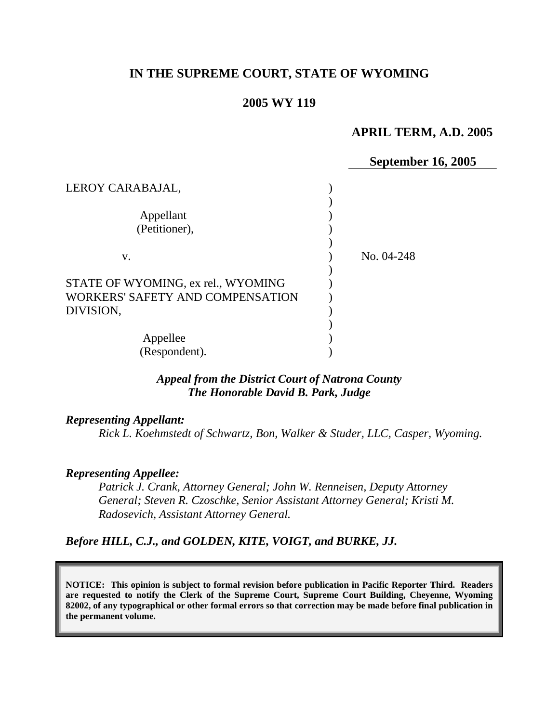## **IN THE SUPREME COURT, STATE OF WYOMING**

#### **2005 WY 119**

### **APRIL TERM, A.D. 2005**

|                                                                        | <b>September 16, 2005</b> |
|------------------------------------------------------------------------|---------------------------|
| LEROY CARABAJAL,                                                       |                           |
| Appellant                                                              |                           |
| (Petitioner),                                                          |                           |
| V.                                                                     | No. 04-248                |
| STATE OF WYOMING, ex rel., WYOMING<br>WORKERS' SAFETY AND COMPENSATION |                           |
| DIVISION,                                                              |                           |
| Appellee                                                               |                           |
| (Respondent).                                                          |                           |

#### *Appeal from the District Court of Natrona County The Honorable David B. Park, Judge*

#### *Representing Appellant:*

*Rick L. Koehmstedt of Schwartz, Bon, Walker & Studer, LLC, Casper, Wyoming.* 

#### *Representing Appellee:*

*Patrick J. Crank, Attorney General; John W. Renneisen, Deputy Attorney General; Steven R. Czoschke, Senior Assistant Attorney General; Kristi M. Radosevich, Assistant Attorney General.* 

*Before HILL, C.J., and GOLDEN, KITE, VOIGT, and BURKE, JJ.* 

**NOTICE: This opinion is subject to formal revision before publication in Pacific Reporter Third. Readers are requested to notify the Clerk of the Supreme Court, Supreme Court Building, Cheyenne, Wyoming 82002, of any typographical or other formal errors so that correction may be made before final publication in the permanent volume.**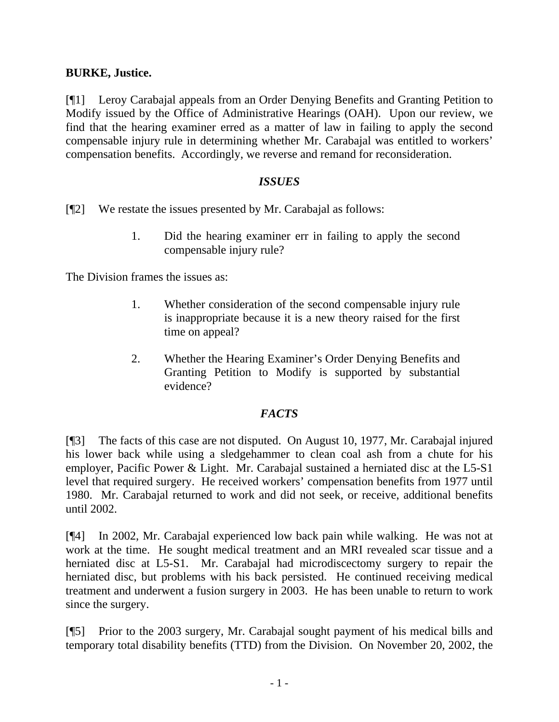# **BURKE, Justice.**

[¶1] Leroy Carabajal appeals from an Order Denying Benefits and Granting Petition to Modify issued by the Office of Administrative Hearings (OAH). Upon our review, we find that the hearing examiner erred as a matter of law in failing to apply the second compensable injury rule in determining whether Mr. Carabajal was entitled to workers' compensation benefits. Accordingly, we reverse and remand for reconsideration.

## *ISSUES*

[¶2] We restate the issues presented by Mr. Carabajal as follows:

1. Did the hearing examiner err in failing to apply the second compensable injury rule?

The Division frames the issues as:

- 1. Whether consideration of the second compensable injury rule is inappropriate because it is a new theory raised for the first time on appeal?
- 2. Whether the Hearing Examiner's Order Denying Benefits and Granting Petition to Modify is supported by substantial evidence?

# *FACTS*

[¶3] The facts of this case are not disputed. On August 10, 1977, Mr. Carabajal injured his lower back while using a sledgehammer to clean coal ash from a chute for his employer, Pacific Power & Light. Mr. Carabajal sustained a herniated disc at the L5-S1 level that required surgery. He received workers' compensation benefits from 1977 until 1980. Mr. Carabajal returned to work and did not seek, or receive, additional benefits until 2002.

[¶4] In 2002, Mr. Carabajal experienced low back pain while walking. He was not at work at the time. He sought medical treatment and an MRI revealed scar tissue and a herniated disc at L5-S1. Mr. Carabajal had microdiscectomy surgery to repair the herniated disc, but problems with his back persisted. He continued receiving medical treatment and underwent a fusion surgery in 2003. He has been unable to return to work since the surgery.

[¶5] Prior to the 2003 surgery, Mr. Carabajal sought payment of his medical bills and temporary total disability benefits (TTD) from the Division. On November 20, 2002, the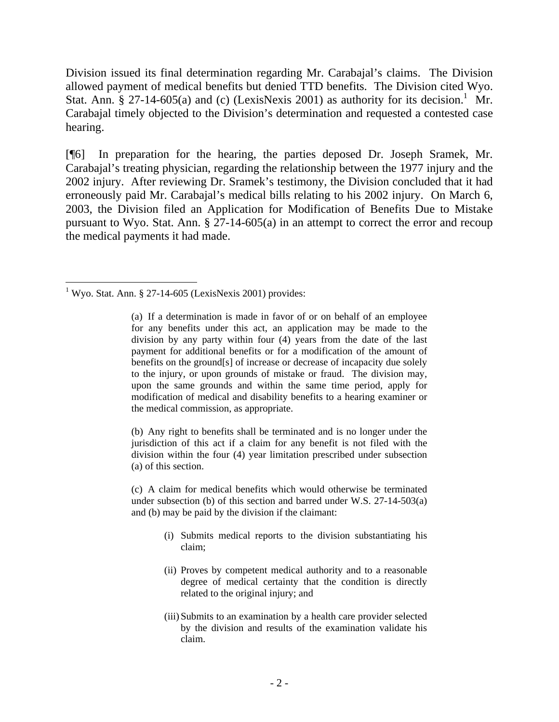Division issued its final determination regarding Mr. Carabajal's claims. The Division allowed payment of medical benefits but denied TTD benefits. The Division cited Wyo. Stat. Ann. § 27-[1](#page-2-0)4-605(a) and (c) (LexisNexis 2001) as authority for its decision.<sup>1</sup> Mr. Carabajal timely objected to the Division's determination and requested a contested case hearing.

[¶6] In preparation for the hearing, the parties deposed Dr. Joseph Sramek, Mr. Carabajal's treating physician, regarding the relationship between the 1977 injury and the 2002 injury. After reviewing Dr. Sramek's testimony, the Division concluded that it had erroneously paid Mr. Carabajal's medical bills relating to his 2002 injury. On March 6, 2003, the Division filed an Application for Modification of Benefits Due to Mistake pursuant to Wyo. Stat. Ann. § 27-14-605(a) in an attempt to correct the error and recoup the medical payments it had made.

(b) Any right to benefits shall be terminated and is no longer under the jurisdiction of this act if a claim for any benefit is not filed with the division within the four (4) year limitation prescribed under subsection (a) of this section.

(c) A claim for medical benefits which would otherwise be terminated under subsection (b) of this section and barred under W.S. 27-14-503(a) and (b) may be paid by the division if the claimant:

- (i) Submits medical reports to the division substantiating his claim;
- (ii) Proves by competent medical authority and to a reasonable degree of medical certainty that the condition is directly related to the original injury; and
- (iii)Submits to an examination by a health care provider selected by the division and results of the examination validate his claim.

<span id="page-2-0"></span> 1 Wyo. Stat. Ann. § 27-14-605 (LexisNexis 2001) provides:

<sup>(</sup>a) If a determination is made in favor of or on behalf of an employee for any benefits under this act, an application may be made to the division by any party within four (4) years from the date of the last payment for additional benefits or for a modification of the amount of benefits on the ground[s] of increase or decrease of incapacity due solely to the injury, or upon grounds of mistake or fraud. The division may, upon the same grounds and within the same time period, apply for modification of medical and disability benefits to a hearing examiner or the medical commission, as appropriate.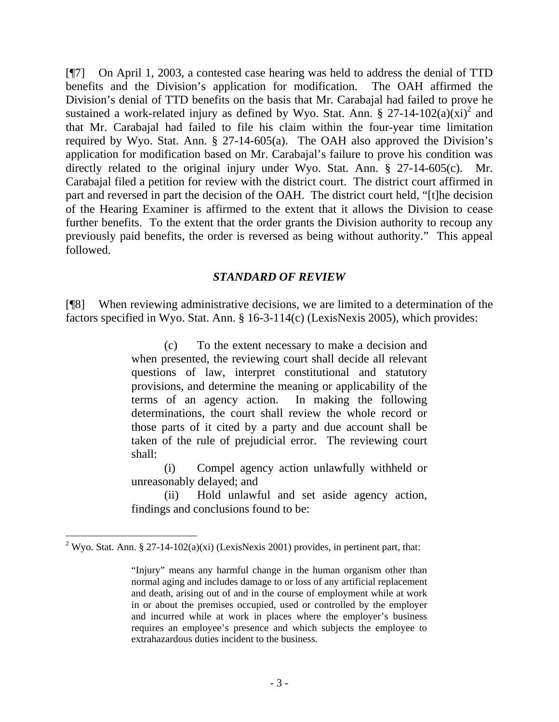[¶7] On April 1, 2003, a contested case hearing was held to address the denial of TTD benefits and the Division's application for modification. The OAH affirmed the Division's denial of TTD benefits on the basis that Mr. Carabajal had failed to prove he sustained a work-related injury as defined by Wyo. Stat. Ann. § 27-14-102(a) $(xi)^2$  and that Mr. Carabajal had failed to file his claim within the four-year time limitation required by Wyo. Stat. Ann. § 27-14-605(a). The OAH also approved the Division's application for modification based on Mr. Carabajal's failure to prove his condition was directly related to the original injury under Wyo. Stat. Ann. § 27-14-605(c). Mr. Carabajal filed a petition for review with the district court. The district court affirmed in part and reversed in part the decision of the OAH. The district court held, "[t]he decision of the Hearing Examiner is affirmed to the extent that it allows the Division to cease further benefits. To the extent that the order grants the Division authority to recoup any previously paid benefits, the order is reversed as being without authority." This appeal followed.

## *STANDARD OF REVIEW*

[¶8] When reviewing administrative decisions, we are limited to a determination of the factors specified in Wyo. Stat. Ann. § 16-3-114(c) (LexisNexis 2005), which provides:

> (c) To the extent necessary to make a decision and when presented, the reviewing court shall decide all relevant questions of law, interpret constitutional and statutory provisions, and determine the meaning or applicability of the terms of an agency action. In making the following determinations, the court shall review the whole record or those parts of it cited by a party and due account shall be taken of the rule of prejudicial error. The reviewing court shall:

> (i) Compel agency action unlawfully withheld or unreasonably delayed; and

> (ii) Hold unlawful and set aside agency action, findings and conclusions found to be:

 $\overline{a}$ 

<span id="page-3-0"></span><sup>&</sup>lt;sup>2</sup> Wyo. Stat. Ann. § 27-14-102(a)(xi) (LexisNexis 2001) provides, in pertinent part, that:

<sup>&</sup>quot;Injury" means any harmful change in the human organism other than normal aging and includes damage to or loss of any artificial replacement and death, arising out of and in the course of employment while at work in or about the premises occupied, used or controlled by the employer and incurred while at work in places where the employer's business requires an employee's presence and which subjects the employee to extrahazardous duties incident to the business.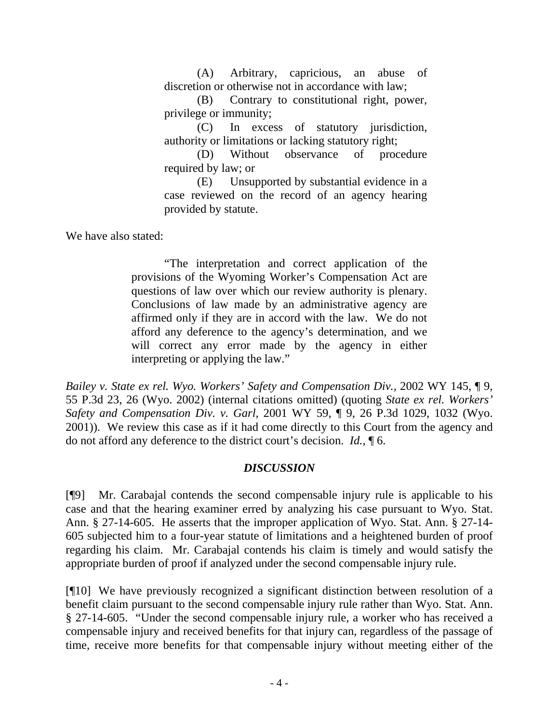(A) Arbitrary, capricious, an abuse of discretion or otherwise not in accordance with law;

(B) Contrary to constitutional right, power, privilege or immunity;

(C) In excess of statutory jurisdiction, authority or limitations or lacking statutory right;

(D) Without observance of procedure required by law; or

(E) Unsupported by substantial evidence in a case reviewed on the record of an agency hearing provided by statute.

We have also stated:

"The interpretation and correct application of the provisions of the Wyoming Worker's Compensation Act are questions of law over which our review authority is plenary. Conclusions of law made by an administrative agency are affirmed only if they are in accord with the law. We do not afford any deference to the agency's determination, and we will correct any error made by the agency in either interpreting or applying the law."

*Bailey v. State ex rel. Wyo. Workers' Safety and Compensation Div., 2002 WY 145,* 19, 55 P.3d 23, 26 (Wyo. 2002) (internal citations omitted) (quoting *State ex rel. Workers' Safety and Compensation Div. v. Garl,* 2001 WY 59, ¶ 9, 26 P.3d 1029, 1032 (Wyo. 2001)). We review this case as if it had come directly to this Court from the agency and do not afford any deference to the district court's decision. *Id.*, ¶ 6.

# *DISCUSSION*

[¶9] Mr. Carabajal contends the second compensable injury rule is applicable to his case and that the hearing examiner erred by analyzing his case pursuant to Wyo. Stat. Ann. § 27-14-605. He asserts that the improper application of Wyo. Stat. Ann. § 27-14- 605 subjected him to a four-year statute of limitations and a heightened burden of proof regarding his claim. Mr. Carabajal contends his claim is timely and would satisfy the appropriate burden of proof if analyzed under the second compensable injury rule.

[¶10] We have previously recognized a significant distinction between resolution of a benefit claim pursuant to the second compensable injury rule rather than Wyo. Stat. Ann. § 27-14-605. "Under the second compensable injury rule, a worker who has received a compensable injury and received benefits for that injury can, regardless of the passage of time, receive more benefits for that compensable injury without meeting either of the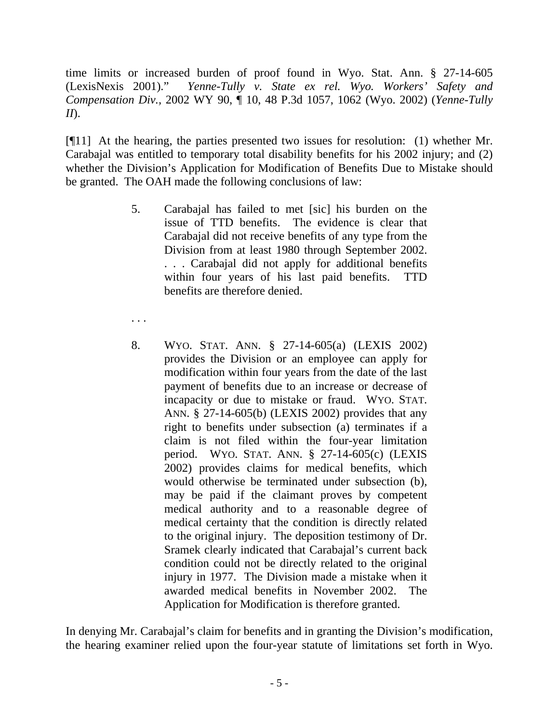time limits or increased burden of proof found in Wyo. Stat. Ann. § 27-14-605 (LexisNexis 2001)." *Yenne-Tully v. State ex rel. Wyo. Workers' Safety and Compensation Div.,* 2002 WY 90, ¶ 10, 48 P.3d 1057, 1062 (Wyo. 2002) (*Yenne-Tully II*).

[¶11] At the hearing, the parties presented two issues for resolution: (1) whether Mr. Carabajal was entitled to temporary total disability benefits for his 2002 injury; and (2) whether the Division's Application for Modification of Benefits Due to Mistake should be granted. The OAH made the following conclusions of law:

- 5. Carabajal has failed to met [sic] his burden on the issue of TTD benefits. The evidence is clear that Carabajal did not receive benefits of any type from the Division from at least 1980 through September 2002. . . . Carabajal did not apply for additional benefits within four years of his last paid benefits. TTD benefits are therefore denied.
- . . .
- 8. WYO. STAT. ANN. § 27-14-605(a) (LEXIS 2002) provides the Division or an employee can apply for modification within four years from the date of the last payment of benefits due to an increase or decrease of incapacity or due to mistake or fraud. WYO. STAT. ANN. § 27-14-605(b) (LEXIS 2002) provides that any right to benefits under subsection (a) terminates if a claim is not filed within the four-year limitation period. WYO. STAT. ANN. § 27-14-605(c) (LEXIS 2002) provides claims for medical benefits, which would otherwise be terminated under subsection (b), may be paid if the claimant proves by competent medical authority and to a reasonable degree of medical certainty that the condition is directly related to the original injury. The deposition testimony of Dr. Sramek clearly indicated that Carabajal's current back condition could not be directly related to the original injury in 1977. The Division made a mistake when it awarded medical benefits in November 2002. The Application for Modification is therefore granted.

In denying Mr. Carabajal's claim for benefits and in granting the Division's modification, the hearing examiner relied upon the four-year statute of limitations set forth in Wyo.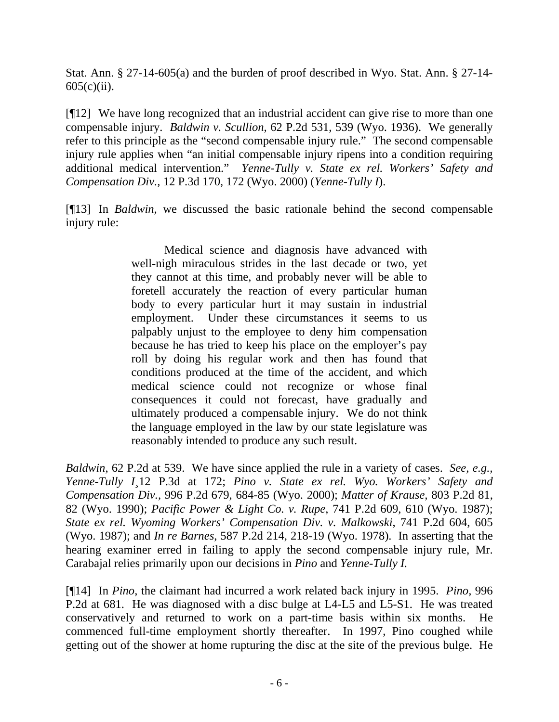Stat. Ann. § 27-14-605(a) and the burden of proof described in Wyo. Stat. Ann. § 27-14-  $605(c)(ii)$ .

[¶12] We have long recognized that an industrial accident can give rise to more than one compensable injury. *Baldwin v. Scullion*, 62 P.2d 531, 539 (Wyo. 1936). We generally refer to this principle as the "second compensable injury rule." The second compensable injury rule applies when "an initial compensable injury ripens into a condition requiring additional medical intervention." *Yenne-Tully v. State ex rel. Workers' Safety and Compensation Div.,* 12 P.3d 170, 172 (Wyo. 2000) (*Yenne-Tully I*).

[¶13] In *Baldwin*, we discussed the basic rationale behind the second compensable injury rule:

> Medical science and diagnosis have advanced with well-nigh miraculous strides in the last decade or two, yet they cannot at this time, and probably never will be able to foretell accurately the reaction of every particular human body to every particular hurt it may sustain in industrial employment. Under these circumstances it seems to us palpably unjust to the employee to deny him compensation because he has tried to keep his place on the employer's pay roll by doing his regular work and then has found that conditions produced at the time of the accident, and which medical science could not recognize or whose final consequences it could not forecast, have gradually and ultimately produced a compensable injury. We do not think the language employed in the law by our state legislature was reasonably intended to produce any such result.

*Baldwin*, 62 P.2d at 539. We have since applied the rule in a variety of cases. *See, e.g., Yenne-Tully I¸*12 P.3d at 172; *Pino v. State ex rel. Wyo. Workers' Safety and Compensation Div.,* 996 P.2d 679, 684-85 (Wyo. 2000); *Matter of Krause,* 803 P.2d 81, 82 (Wyo. 1990); *Pacific Power & Light Co. v. Rupe*, 741 P.2d 609, 610 (Wyo. 1987); *State ex rel. Wyoming Workers' Compensation Div. v. Malkowski*, 741 P.2d 604, 605 (Wyo. 1987); and *In re Barnes*, 587 P.2d 214, 218-19 (Wyo. 1978). In asserting that the hearing examiner erred in failing to apply the second compensable injury rule, Mr. Carabajal relies primarily upon our decisions in *Pino* and *Yenne-Tully I.*

[¶14] In *Pino*, the claimant had incurred a work related back injury in 1995. *Pino,* 996 P.2d at 681. He was diagnosed with a disc bulge at L4-L5 and L5-S1. He was treated conservatively and returned to work on a part-time basis within six months. He commenced full-time employment shortly thereafter. In 1997, Pino coughed while getting out of the shower at home rupturing the disc at the site of the previous bulge. He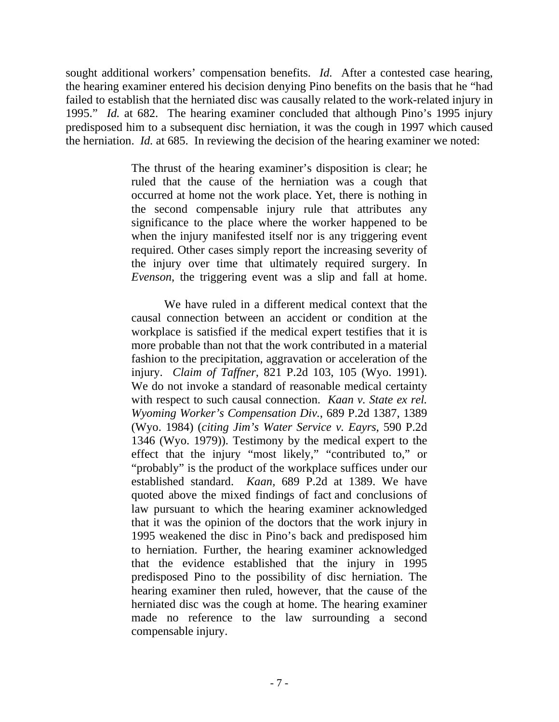sought additional workers' compensation benefits. *Id.* After a contested case hearing, the hearing examiner entered his decision denying Pino benefits on the basis that he "had failed to establish that the herniated disc was causally related to the work-related injury in 1995." *Id.* at 682. The hearing examiner concluded that although Pino's 1995 injury predisposed him to a subsequent disc herniation, it was the cough in 1997 which caused the herniation. *Id.* at 685. In reviewing the decision of the hearing examiner we noted:

> The thrust of the hearing examiner's disposition is clear; he ruled that the cause of the herniation was a cough that occurred at home not the work place. Yet, there is nothing in the second compensable injury rule that attributes any significance to the place where the worker happened to be when the injury manifested itself nor is any triggering event required. Other cases simply report the increasing severity of the injury over time that ultimately required surgery. In *Evenson*, the triggering event was a slip and fall at home.

> We have ruled in a different medical context that the causal connection between an accident or condition at the workplace is satisfied if the medical expert testifies that it is more probable than not that the work contributed in a material fashion to the precipitation, aggravation or acceleration of the injury. *Claim of Taffner*[, 821 P.2d 103, 105 \(Wyo. 1991\).](http://www.lexis.com/research/buttonTFLink?_m=a98a891dd53d3db58155a910c7f72c6e&_xfercite=%3ccite%20cc%3d%22USA%22%3e%3c%21%5bCDATA%5b996%20P.2d%20679%5d%5d%3e%3c%2fcite%3e&_butType=3&_butStat=2&_butNum=58&_butInline=1&_butinfo=%3ccite%20cc%3d%22USA%22%3e%3c%21%5bCDATA%5b821%20P.2d%20103%2cat%20105%5d%5d%3e%3c%2fcite%3e&_fmtstr=FULL&docnum=1&_startdoc=1&wchp=dGLbVlb-zSkAW&_md5=6e9fdb9173564ef4e5e28ac7e2760619) We do not invoke a standard of reasonable medical certainty with respect to such causal connection. *[Kaan v. State ex rel.](http://www.lexis.com/research/buttonTFLink?_m=a98a891dd53d3db58155a910c7f72c6e&_xfercite=%3ccite%20cc%3d%22USA%22%3e%3c%21%5bCDATA%5b996%20P.2d%20679%5d%5d%3e%3c%2fcite%3e&_butType=3&_butStat=2&_butNum=59&_butInline=1&_butinfo=%3ccite%20cc%3d%22USA%22%3e%3c%21%5bCDATA%5b689%20P.2d%201387%2cat%201389%5d%5d%3e%3c%2fcite%3e&_fmtstr=FULL&docnum=1&_startdoc=1&wchp=dGLbVlb-zSkAW&_md5=dd8498d85775e6ea477e7058a43552bd)  [Wyoming Worker's Compensation Div.](http://www.lexis.com/research/buttonTFLink?_m=a98a891dd53d3db58155a910c7f72c6e&_xfercite=%3ccite%20cc%3d%22USA%22%3e%3c%21%5bCDATA%5b996%20P.2d%20679%5d%5d%3e%3c%2fcite%3e&_butType=3&_butStat=2&_butNum=59&_butInline=1&_butinfo=%3ccite%20cc%3d%22USA%22%3e%3c%21%5bCDATA%5b689%20P.2d%201387%2cat%201389%5d%5d%3e%3c%2fcite%3e&_fmtstr=FULL&docnum=1&_startdoc=1&wchp=dGLbVlb-zSkAW&_md5=dd8498d85775e6ea477e7058a43552bd)*, 689 P.2d 1387, 1389 [\(Wyo. 1984\)](http://www.lexis.com/research/buttonTFLink?_m=a98a891dd53d3db58155a910c7f72c6e&_xfercite=%3ccite%20cc%3d%22USA%22%3e%3c%21%5bCDATA%5b996%20P.2d%20679%5d%5d%3e%3c%2fcite%3e&_butType=3&_butStat=2&_butNum=59&_butInline=1&_butinfo=%3ccite%20cc%3d%22USA%22%3e%3c%21%5bCDATA%5b689%20P.2d%201387%2cat%201389%5d%5d%3e%3c%2fcite%3e&_fmtstr=FULL&docnum=1&_startdoc=1&wchp=dGLbVlb-zSkAW&_md5=dd8498d85775e6ea477e7058a43552bd) (*citing [Jim's Water Service v. Eayrs](http://www.lexis.com/research/buttonTFLink?_m=a98a891dd53d3db58155a910c7f72c6e&_xfercite=%3ccite%20cc%3d%22USA%22%3e%3c%21%5bCDATA%5b996%20P.2d%20679%5d%5d%3e%3c%2fcite%3e&_butType=3&_butStat=2&_butNum=60&_butInline=1&_butinfo=%3ccite%20cc%3d%22USA%22%3e%3c%21%5bCDATA%5b590%20P.2d%201346%5d%5d%3e%3c%2fcite%3e&_fmtstr=FULL&docnum=1&_startdoc=1&wchp=dGLbVlb-zSkAW&_md5=e92f397e5bdb8be33e93834576405913)*, 590 P.2d [1346 \(Wyo. 1979\)\).](http://www.lexis.com/research/buttonTFLink?_m=a98a891dd53d3db58155a910c7f72c6e&_xfercite=%3ccite%20cc%3d%22USA%22%3e%3c%21%5bCDATA%5b996%20P.2d%20679%5d%5d%3e%3c%2fcite%3e&_butType=3&_butStat=2&_butNum=60&_butInline=1&_butinfo=%3ccite%20cc%3d%22USA%22%3e%3c%21%5bCDATA%5b590%20P.2d%201346%5d%5d%3e%3c%2fcite%3e&_fmtstr=FULL&docnum=1&_startdoc=1&wchp=dGLbVlb-zSkAW&_md5=e92f397e5bdb8be33e93834576405913) Testimony by the medical expert to the effect that the injury "most likely," "contributed to," or "probably" is the product of the workplace suffices under our established standard. *Kaan,* [689 P.2d at 1389.](http://www.lexis.com/research/buttonTFLink?_m=a98a891dd53d3db58155a910c7f72c6e&_xfercite=%3ccite%20cc%3d%22USA%22%3e%3c%21%5bCDATA%5b996%20P.2d%20679%5d%5d%3e%3c%2fcite%3e&_butType=3&_butStat=2&_butNum=61&_butInline=1&_butinfo=%3ccite%20cc%3d%22USA%22%3e%3c%21%5bCDATA%5b689%20P.2d%201387%2cat%201389%5d%5d%3e%3c%2fcite%3e&_fmtstr=FULL&docnum=1&_startdoc=1&wchp=dGLbVlb-zSkAW&_md5=95ea1c0d681595171b00a6df82baed29) We have quoted above the mixed findings of fact and conclusions of law pursuant to which the hearing examiner acknowledged that it was the opinion of the doctors that the work injury in 1995 weakened the disc in Pino's back and predisposed him to herniation. Further, the hearing examiner acknowledged that the evidence established that the injury in 1995 predisposed Pino to the possibility of disc herniation. The hearing examiner then ruled, however, that the cause of the herniated disc was the cough at home. The hearing examiner made no reference to the law surrounding a second compensable injury.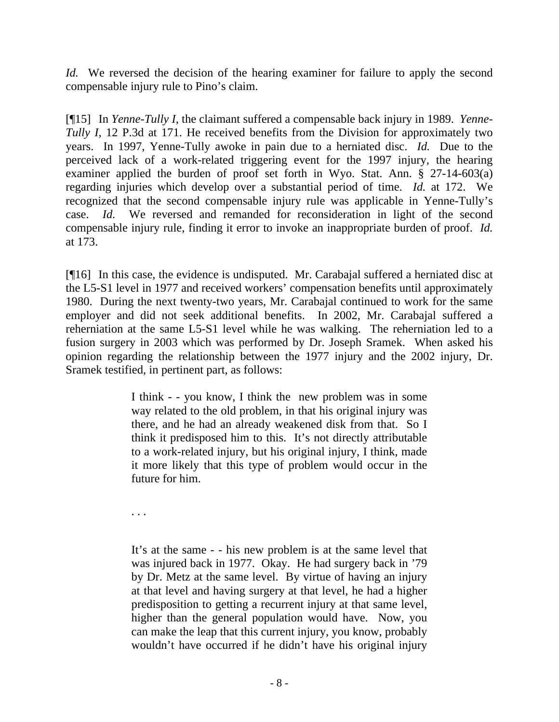*Id.* We reversed the decision of the hearing examiner for failure to apply the second compensable injury rule to Pino's claim.

[¶15] In *Yenne-Tully I*, the claimant suffered a compensable back injury in 1989. *Yenne-Tully I*, 12 P.3d at 171. He received benefits from the Division for approximately two years. In 1997, Yenne-Tully awoke in pain due to a herniated disc. *Id.* Due to the perceived lack of a work-related triggering event for the 1997 injury, the hearing examiner applied the burden of proof set forth in Wyo. Stat. Ann. § 27-14-603(a) regarding injuries which develop over a substantial period of time. *Id.* at 172. We recognized that the second compensable injury rule was applicable in Yenne-Tully's case. *Id.* We reversed and remanded for reconsideration in light of the second compensable injury rule, finding it error to invoke an inappropriate burden of proof. *Id.*  at 173.

[¶16] In this case, the evidence is undisputed. Mr. Carabajal suffered a herniated disc at the L5-S1 level in 1977 and received workers' compensation benefits until approximately 1980. During the next twenty-two years, Mr. Carabajal continued to work for the same employer and did not seek additional benefits. In 2002, Mr. Carabajal suffered a reherniation at the same L5-S1 level while he was walking. The reherniation led to a fusion surgery in 2003 which was performed by Dr. Joseph Sramek. When asked his opinion regarding the relationship between the 1977 injury and the 2002 injury, Dr. Sramek testified, in pertinent part, as follows:

> I think - - you know, I think the new problem was in some way related to the old problem, in that his original injury was there, and he had an already weakened disk from that. So I think it predisposed him to this. It's not directly attributable to a work-related injury, but his original injury, I think, made it more likely that this type of problem would occur in the future for him.

. . .

It's at the same - - his new problem is at the same level that was injured back in 1977. Okay. He had surgery back in '79 by Dr. Metz at the same level. By virtue of having an injury at that level and having surgery at that level, he had a higher predisposition to getting a recurrent injury at that same level, higher than the general population would have. Now, you can make the leap that this current injury, you know, probably wouldn't have occurred if he didn't have his original injury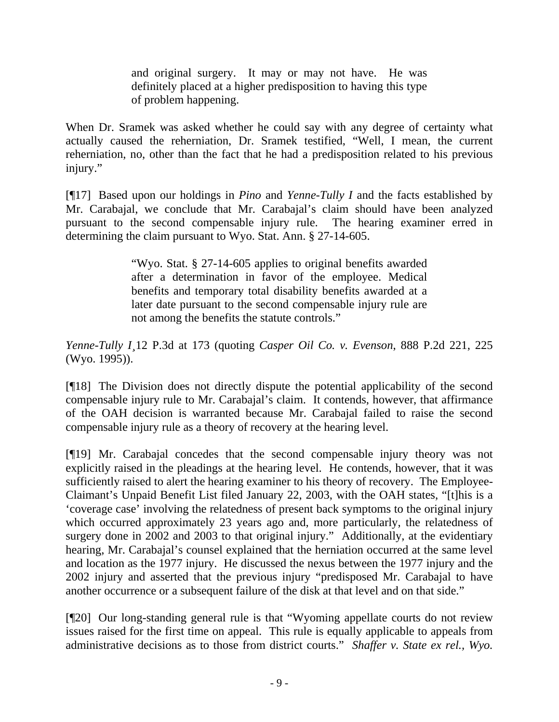and original surgery. It may or may not have. He was definitely placed at a higher predisposition to having this type of problem happening.

When Dr. Sramek was asked whether he could say with any degree of certainty what actually caused the reherniation, Dr. Sramek testified, "Well, I mean, the current reherniation, no, other than the fact that he had a predisposition related to his previous injury."

[¶17] Based upon our holdings in *Pino* and *Yenne-Tully I* and the facts established by Mr. Carabajal, we conclude that Mr. Carabajal's claim should have been analyzed pursuant to the second compensable injury rule. The hearing examiner erred in determining the claim pursuant to Wyo. Stat. Ann. § 27-14-605.

> "Wyo. Stat. § 27-14-605 applies to original benefits awarded after a determination in favor of the employee. Medical benefits and temporary total disability benefits awarded at a later date pursuant to the second compensable injury rule are not among the benefits the statute controls."

*Yenne-Tully I¸*12 P.3d at 173 (quoting *Casper Oil Co. v. Evenson*, 888 P.2d 221, 225 (Wyo. 1995)).

[¶18] The Division does not directly dispute the potential applicability of the second compensable injury rule to Mr. Carabajal's claim. It contends, however, that affirmance of the OAH decision is warranted because Mr. Carabajal failed to raise the second compensable injury rule as a theory of recovery at the hearing level.

[¶19] Mr. Carabajal concedes that the second compensable injury theory was not explicitly raised in the pleadings at the hearing level. He contends, however, that it was sufficiently raised to alert the hearing examiner to his theory of recovery. The Employee-Claimant's Unpaid Benefit List filed January 22, 2003, with the OAH states, "[t]his is a 'coverage case' involving the relatedness of present back symptoms to the original injury which occurred approximately 23 years ago and, more particularly, the relatedness of surgery done in 2002 and 2003 to that original injury." Additionally, at the evidentiary hearing, Mr. Carabajal's counsel explained that the herniation occurred at the same level and location as the 1977 injury. He discussed the nexus between the 1977 injury and the 2002 injury and asserted that the previous injury "predisposed Mr. Carabajal to have another occurrence or a subsequent failure of the disk at that level and on that side."

[¶20] Our long-standing general rule is that "Wyoming appellate courts do not review issues raised for the first time on appeal. This rule is equally applicable to appeals from administrative decisions as to those from district courts." *Shaffer v. State ex rel., Wyo.*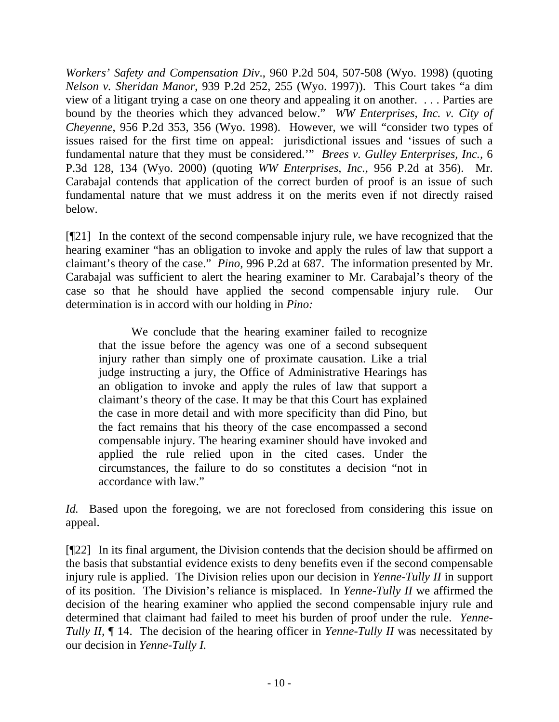*Workers' Safety and Compensation Div*., 960 P.2d 504, 507-508 (Wyo. 1998) (quoting *Nelson v. Sheridan Manor*, 939 P.2d 252, 255 (Wyo. 1997)). This Court takes "a dim view of a litigant trying a case on one theory and appealing it on another. . . . Parties are bound by the theories which they advanced below." *WW Enterprises, Inc. v. City of Cheyenne*, 956 P.2d 353, 356 (Wyo. 1998). However, we will "consider two types of issues raised for the first time on appeal: jurisdictional issues and 'issues of such a fundamental nature that they must be considered.'" *Brees v. Gulley Enterprises, Inc.,* 6 P.3d 128, 134 (Wyo. 2000) (quoting *WW Enterprises, Inc.*, 956 P.2d at 356). Mr. Carabajal contends that application of the correct burden of proof is an issue of such fundamental nature that we must address it on the merits even if not directly raised below.

[¶21] In the context of the second compensable injury rule, we have recognized that the hearing examiner "has an obligation to invoke and apply the rules of law that support a claimant's theory of the case." *Pino,* 996 P.2d at 687. The information presented by Mr. Carabajal was sufficient to alert the hearing examiner to Mr. Carabajal's theory of the case so that he should have applied the second compensable injury rule. Our determination is in accord with our holding in *Pino:* 

We conclude that the hearing examiner failed to recognize that the issue before the agency was one of a second subsequent injury rather than simply one of proximate causation. Like a trial judge instructing a jury, the Office of Administrative Hearings has an obligation to invoke and apply the rules of law that support a claimant's theory of the case. It may be that this Court has explained the case in more detail and with more specificity than did Pino, but the fact remains that his theory of the case encompassed a second compensable injury. The hearing examiner should have invoked and applied the rule relied upon in the cited cases. Under the circumstances, the failure to do so constitutes a decision "not in accordance with law."

*Id.* Based upon the foregoing, we are not foreclosed from considering this issue on appeal.

[¶22] In its final argument, the Division contends that the decision should be affirmed on the basis that substantial evidence exists to deny benefits even if the second compensable injury rule is applied. The Division relies upon our decision in *Yenne-Tully II* in support of its position. The Division's reliance is misplaced. In *Yenne-Tully II* we affirmed the decision of the hearing examiner who applied the second compensable injury rule and determined that claimant had failed to meet his burden of proof under the rule. *Yenne-Tully II,*  $\P$  14. The decision of the hearing officer in *Yenne-Tully II* was necessitated by our decision in *Yenne-Tully I.*